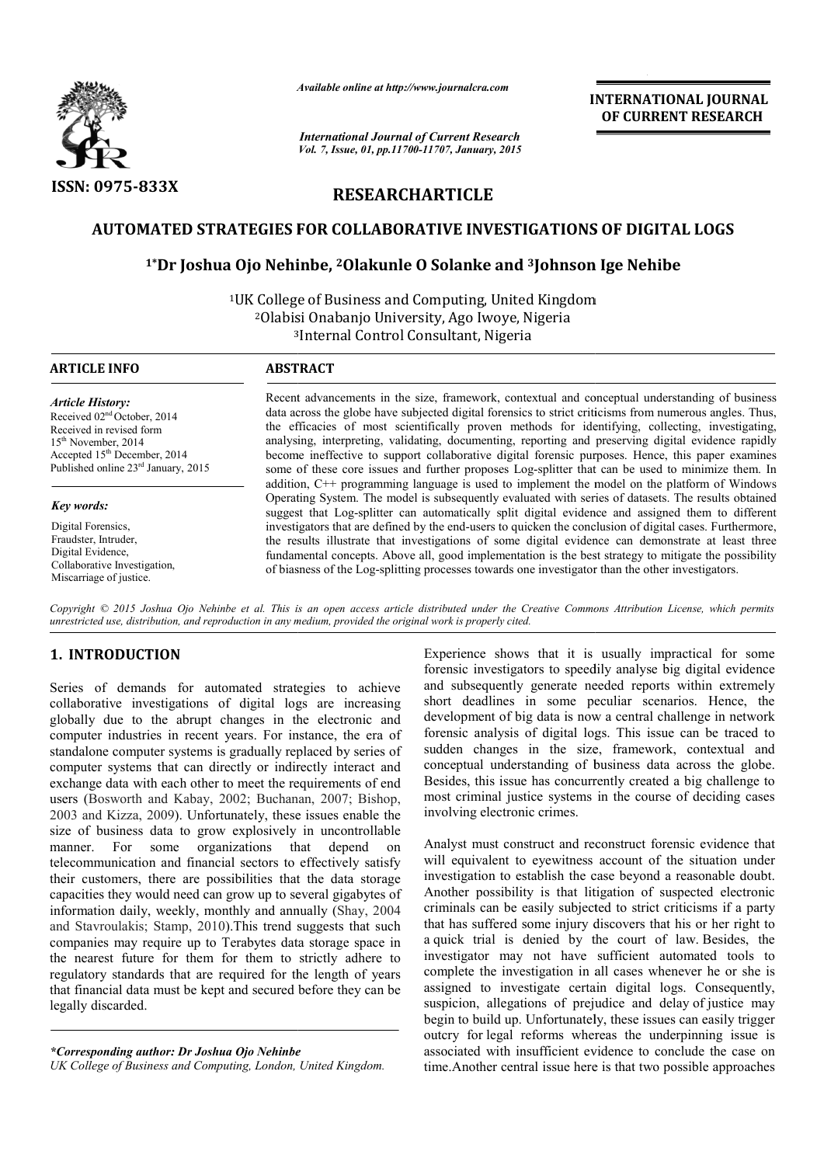

*Available online at http://www.journal http://www.journalcra.com*

*International Journal of Current Research Vol. 7, Issue, 01, pp.11700-11707, January, 2015* **INTERNATIONAL JOURNAL OF CURRENT RESEARCH** 

# **RESEARCHARTICLE**

# AUTOMATED STRATEGIES FOR COLLABORATIVE INVESTIGATIONS OF DIGITAL LOGS<br><sup>1\*</sup>Dr Joshua Ojo Nehinbe, <sup>2</sup>Olakunle O Solanke and <sup>3</sup>Johnson Ige Nehibe

## **1\*Dr Joshua Ojo Nehinbe, oshua 2Olakunle O Solanke and 3Johnson Ige Nehibe**

<sup>1</sup>UK College of Business and Computing, United Kingdom 2Olabisi Onabanjo University, Ago Iwoye, Nigeria 3 Olabisi 3Internal Control Consultant, Nigeria

*Article History:* Received 02nd October, 2014 Received in revised form 15th November, 2014 Accepted 15th December, 2014 Published online 23<sup>rd</sup> January, 2015

#### *Key words:*

Digital Forensics, Fraudster, Intruder, Digital Evidence, Collaborative Investigation, Miscarriage of justice.

#### **ARTICLE INFO ABSTRACT**

Recent advancements in the size, framework, contextual and conceptual understanding of business data across the globe have subjected digital forensics to strict criticisms from numerous angles. Thus, the efficacies of most scientifically proven methods for identifying analysing analysing, interpreting, validating, documenting, reporting and preserving digital evidence rapidly become ineffective to support collaborative digital forensic purposes. Hence, this paper examines some of these core issues and further proposes Log-splitter that can be used to minimize them. In addition, C++ programming language is used to implement the model on the platform of Windows Operating System. The model is subsequently evaluated with series of datasets. The results obtained suggest that Log-splitter can automatically split digital evidence and assigned them to different investigators that are defined by the end end-users to quicken the conclusion of digital cases. Furthermore, the results illustrate that investigations of some digital evidence can demonstrate at least three fundamental concepts. Above all, good implementation is the best of biasness of the Log-splitting processes towards one investigator than the other investigators. advancements in the size, framework, contextual and conceptual understanding of business<br>oss the globe have subjected digital forensics to strict criticisms from numerous angles. Thus,<br>cacies of most scientifically proven to support collaborative digital forensic purposes. Hence, this paper examines issues and further proposes Log-splitter that can be used to minimize them. In tramming language is used to implement the model on the platform

Copyright © 2015 Joshua Ojo Nehinbe et al. This is an open access article distributed under the Creative Commons Attribution License, which permits *unrestricted use, distribution, and reproduction in any medium, provided the original work is properly cited.*

### **1. INTRODUCTION**

Series of demands for automated strategies to achieve collaborative investigations of digital logs are increasing globally due to the abrupt changes in the electronic and computer industries in recent years. For instance, the era of standalone computer systems is gradually replaced by series of computer systems that can directly or indirectly interact and exchange data with each other to meet the requirements of end users (Bosworth and Kabay, 2002; Buchanan, 2007; Bishop, 2003 and Kizza, 2009). Unfortunately, these issues enable the size of business data to grow explosively in uncontrollable manner. For some organizations that depend on telecommunication and financial sectors to effectively satisfy their customers, there are possibilities that the data storage size of business data to grow explosively in uncontrollable<br>manner. For some organizations that depend on<br>telecommunication and financial sectors to effectively satisfy<br>their customers, there are possibilities that the dat information daily, weekly, monthly and annually (Shay, 2004 and Stavroulakis; Stamp, 2010).This trend suggests that such companies may require up to Terabytes data storage space in the nearest future for them for them to strictly adhere to regulatory standards that are required for the length of years that financial data must be kept and secured before they can be legally discarded. This trend suggests that such<br>erabytes data storage space in<br>r them to strictly adhere to<br>quired for the length of years<br>and secured before they can be Experience shows that it is usually impractical for some forensic investigators to speedily analyse big digital evidence and subsequently generate needed reports within extremely short deadlines in some peculiar scenarios. Hence, the development of big data is now a central challenge in network forensic analysis of digital logs. This issue can be traced to sudden changes in the size, framework, contextual and conceptual understanding of business data across the globe. Besides, this issue has concurrently created a big challenge to most criminal justice systems in the course of deciding cases involving electronic crimes. Experience shows that it is usually impractical for some<br>forensic investigators to speedily analyse big digital evidence<br>and subsequently generate needed reports within extremely<br>short deadlines in some peculiar scenarios.

Analyst must construct and reconstruct forensic evidence that will equivalent to eyewitness account of the situation under investigation to establish the case beyond a reasonable doubt. Another possibility is that litigation of suspected electronic criminals can be easily subjected to strict criticisms if that has suffered some injury discovers that his or her right to a quick trial is denied by the court of law. Besides, the investigator may not have sufficient automated tools to complete the investigation in all cases whenever he or she is assigned to investigate certain digital logs. Consequently, investigator may not have sufficient automated tools to complete the investigation in all cases whenever he or she is assigned to investigate certain digital logs. Consequently, suspicion, allegations of prejudice and dela begin to build up. Unfortunately, these issues can easily trigger outcry for legal reforms whereas the underpinning issue is associated with insufficient evidence to conclude the case on time.Another central issue here is that two possible approaches yst must construct and reconstruct forensic evidence that equivalent to eyewitness account of the situation under trigation to establish the case beyond a reasonable doubt. Her possibility is that litigation of suspected e **INTERNATIONAL IOURNAL FORM CONFIGURE CONFIGURE CONFIGURE CONFIGURE CONFIGURE CONFIGURE CONFIGURE CONFIGURE CONFIGURE CONFIGURE CONFIGURE CONFIGURE CONFIGURE CONFIGURE CONFIGURE CONFIGURE CONFIGURE CONFIGURE CONFIGURE CON** 

*<sup>\*</sup>Corresponding author: Dr Joshua Ojo Nehinbe*

*UK College of Business and Computing, London, United Kingdom.*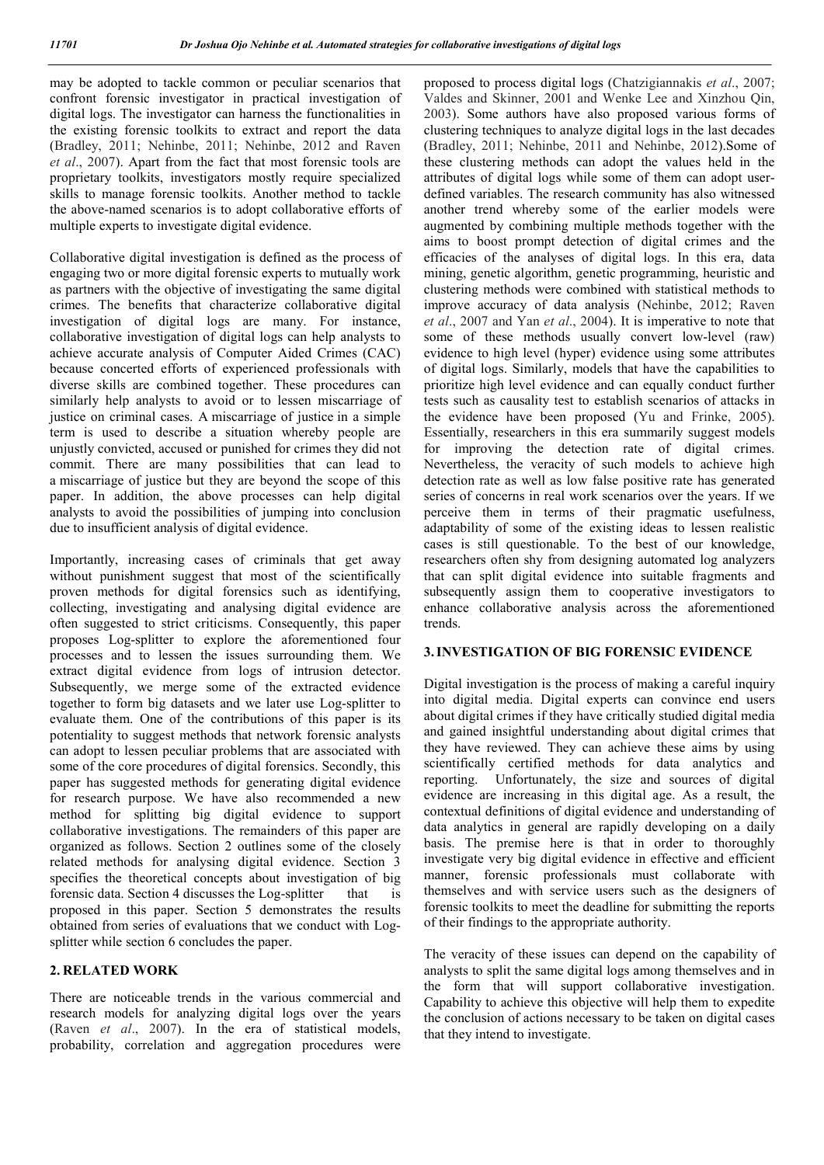may be adopted to tackle common or peculiar scenarios that confront forensic investigator in practical investigation of digital logs. The investigator can harness the functionalities in the existing forensic toolkits to extract and report the data (Bradley, 2011; Nehinbe, 2011; Nehinbe, 2012 and Raven *et al*., 2007). Apart from the fact that most forensic tools are proprietary toolkits, investigators mostly require specialized skills to manage forensic toolkits. Another method to tackle the above-named scenarios is to adopt collaborative efforts of multiple experts to investigate digital evidence.

Collaborative digital investigation is defined as the process of engaging two or more digital forensic experts to mutually work as partners with the objective of investigating the same digital crimes. The benefits that characterize collaborative digital investigation of digital logs are many. For instance, collaborative investigation of digital logs can help analysts to achieve accurate analysis of Computer Aided Crimes (CAC) because concerted efforts of experienced professionals with diverse skills are combined together. These procedures can similarly help analysts to avoid or to lessen miscarriage of justice on criminal cases. A miscarriage of justice in a simple term is used to describe a situation whereby people are unjustly convicted, accused or punished for crimes they did not commit. There are many possibilities that can lead to a miscarriage of justice but they are beyond the scope of this paper. In addition, the above processes can help digital analysts to avoid the possibilities of jumping into conclusion due to insufficient analysis of digital evidence.

Importantly, increasing cases of criminals that get away without punishment suggest that most of the scientifically proven methods for digital forensics such as identifying, collecting, investigating and analysing digital evidence are often suggested to strict criticisms. Consequently, this paper proposes Log-splitter to explore the aforementioned four processes and to lessen the issues surrounding them. We extract digital evidence from logs of intrusion detector. Subsequently, we merge some of the extracted evidence together to form big datasets and we later use Log-splitter to evaluate them. One of the contributions of this paper is its potentiality to suggest methods that network forensic analysts can adopt to lessen peculiar problems that are associated with some of the core procedures of digital forensics. Secondly, this paper has suggested methods for generating digital evidence for research purpose. We have also recommended a new method for splitting big digital evidence to support collaborative investigations. The remainders of this paper are organized as follows. Section 2 outlines some of the closely related methods for analysing digital evidence. Section 3 specifies the theoretical concepts about investigation of big forensic data. Section 4 discusses the Log-splitter that is proposed in this paper. Section 5 demonstrates the results obtained from series of evaluations that we conduct with Logsplitter while section 6 concludes the paper.

#### **2. RELATED WORK**

There are noticeable trends in the various commercial and research models for analyzing digital logs over the years (Raven *et al*., 2007). In the era of statistical models, probability, correlation and aggregation procedures were proposed to process digital logs (Chatzigiannakis *et al*., 2007; Valdes and Skinner, 2001 and Wenke Lee and Xinzhou Qin, 2003). Some authors have also proposed various forms of clustering techniques to analyze digital logs in the last decades (Bradley, 2011; Nehinbe, 2011 and Nehinbe, 2012).Some of these clustering methods can adopt the values held in the attributes of digital logs while some of them can adopt userdefined variables. The research community has also witnessed another trend whereby some of the earlier models were augmented by combining multiple methods together with the aims to boost prompt detection of digital crimes and the efficacies of the analyses of digital logs. In this era, data mining, genetic algorithm, genetic programming, heuristic and clustering methods were combined with statistical methods to improve accuracy of data analysis (Nehinbe, 2012; Raven *et al*., 2007 and Yan *et al*., 2004). It is imperative to note that some of these methods usually convert low-level (raw) evidence to high level (hyper) evidence using some attributes of digital logs. Similarly, models that have the capabilities to prioritize high level evidence and can equally conduct further tests such as causality test to establish scenarios of attacks in the evidence have been proposed (Yu and Frinke, 2005). Essentially, researchers in this era summarily suggest models for improving the detection rate of digital crimes. Nevertheless, the veracity of such models to achieve high detection rate as well as low false positive rate has generated series of concerns in real work scenarios over the years. If we perceive them in terms of their pragmatic usefulness, adaptability of some of the existing ideas to lessen realistic cases is still questionable. To the best of our knowledge, researchers often shy from designing automated log analyzers that can split digital evidence into suitable fragments and subsequently assign them to cooperative investigators to enhance collaborative analysis across the aforementioned trends.

#### **3.INVESTIGATION OF BIG FORENSIC EVIDENCE**

Digital investigation is the process of making a careful inquiry into digital media. Digital experts can convince end users about digital crimes if they have critically studied digital media and gained insightful understanding about digital crimes that they have reviewed. They can achieve these aims by using scientifically certified methods for data analytics and reporting. Unfortunately, the size and sources of digital evidence are increasing in this digital age. As a result, the contextual definitions of digital evidence and understanding of data analytics in general are rapidly developing on a daily basis. The premise here is that in order to thoroughly investigate very big digital evidence in effective and efficient manner, forensic professionals must collaborate with themselves and with service users such as the designers of forensic toolkits to meet the deadline for submitting the reports of their findings to the appropriate authority.

The veracity of these issues can depend on the capability of analysts to split the same digital logs among themselves and in the form that will support collaborative investigation. Capability to achieve this objective will help them to expedite the conclusion of actions necessary to be taken on digital cases that they intend to investigate.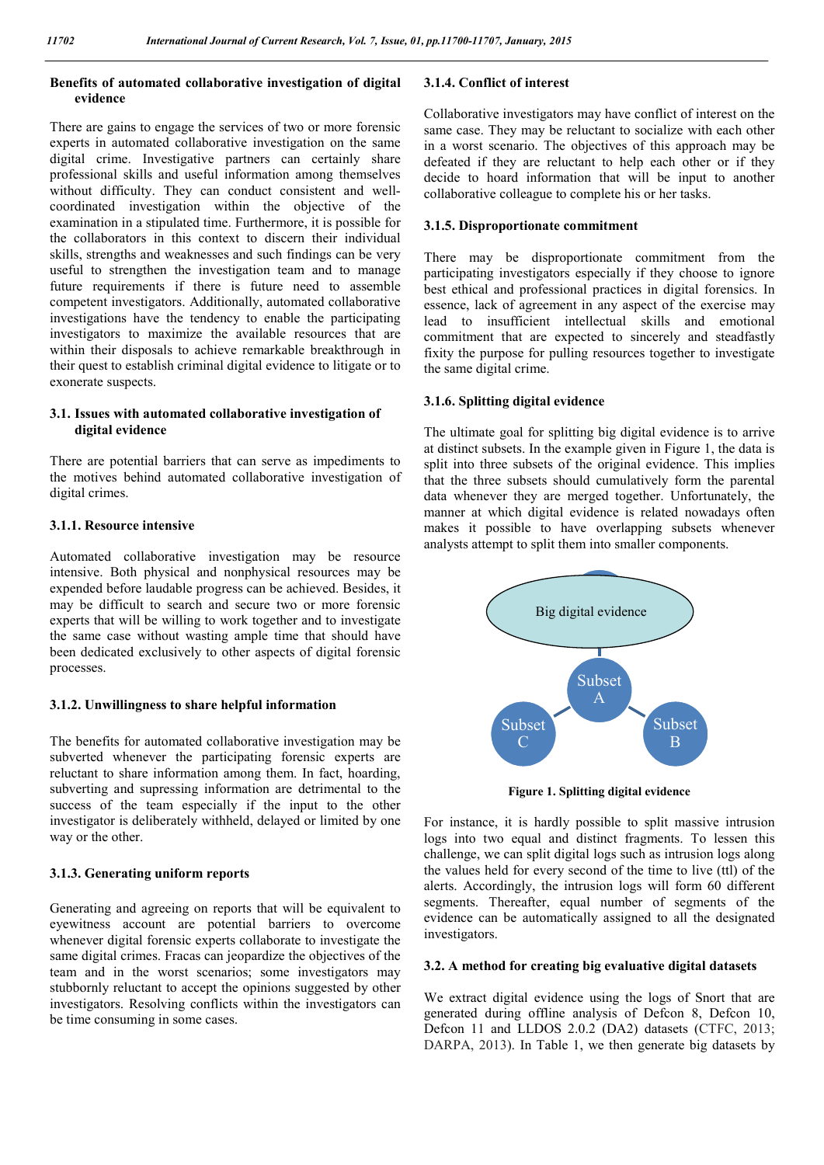#### **Benefits of automated collaborative investigation of digital evidence**

There are gains to engage the services of two or more forensic experts in automated collaborative investigation on the same digital crime. Investigative partners can certainly share professional skills and useful information among themselves without difficulty. They can conduct consistent and wellcoordinated investigation within the objective of the examination in a stipulated time. Furthermore, it is possible for the collaborators in this context to discern their individual skills, strengths and weaknesses and such findings can be very useful to strengthen the investigation team and to manage future requirements if there is future need to assemble competent investigators. Additionally, automated collaborative investigations have the tendency to enable the participating investigators to maximize the available resources that are within their disposals to achieve remarkable breakthrough in their quest to establish criminal digital evidence to litigate or to exonerate suspects.

#### **3.1. Issues with automated collaborative investigation of digital evidence**

There are potential barriers that can serve as impediments to the motives behind automated collaborative investigation of digital crimes.

#### **3.1.1. Resource intensive**

Automated collaborative investigation may be resource intensive. Both physical and nonphysical resources may be expended before laudable progress can be achieved. Besides, it may be difficult to search and secure two or more forensic experts that will be willing to work together and to investigate the same case without wasting ample time that should have been dedicated exclusively to other aspects of digital forensic processes.

#### **3.1.2. Unwillingness to share helpful information**

The benefits for automated collaborative investigation may be subverted whenever the participating forensic experts are reluctant to share information among them. In fact, hoarding, subverting and supressing information are detrimental to the success of the team especially if the input to the other investigator is deliberately withheld, delayed or limited by one way or the other.

#### **3.1.3. Generating uniform reports**

Generating and agreeing on reports that will be equivalent to eyewitness account are potential barriers to overcome whenever digital forensic experts collaborate to investigate the same digital crimes. Fracas can jeopardize the objectives of the team and in the worst scenarios; some investigators may stubbornly reluctant to accept the opinions suggested by other investigators. Resolving conflicts within the investigators can be time consuming in some cases.

#### **3.1.4. Conflict of interest**

Collaborative investigators may have conflict of interest on the same case. They may be reluctant to socialize with each other in a worst scenario. The objectives of this approach may be defeated if they are reluctant to help each other or if they decide to hoard information that will be input to another collaborative colleague to complete his or her tasks.

#### **3.1.5. Disproportionate commitment**

There may be disproportionate commitment from the participating investigators especially if they choose to ignore best ethical and professional practices in digital forensics. In essence, lack of agreement in any aspect of the exercise may lead to insufficient intellectual skills and emotional commitment that are expected to sincerely and steadfastly fixity the purpose for pulling resources together to investigate the same digital crime.

#### **3.1.6. Splitting digital evidence**

The ultimate goal for splitting big digital evidence is to arrive at distinct subsets. In the example given in Figure 1, the data is split into three subsets of the original evidence. This implies that the three subsets should cumulatively form the parental data whenever they are merged together. Unfortunately, the manner at which digital evidence is related nowadays often makes it possible to have overlapping subsets whenever analysts attempt to split them into smaller components.



**Figure 1. Splitting digital evidence**

For instance, it is hardly possible to split massive intrusion logs into two equal and distinct fragments. To lessen this challenge, we can split digital logs such as intrusion logs along the values held for every second of the time to live (ttl) of the alerts. Accordingly, the intrusion logs will form 60 different segments. Thereafter, equal number of segments of the evidence can be automatically assigned to all the designated investigators.

#### **3.2. A method for creating big evaluative digital datasets**

We extract digital evidence using the logs of Snort that are generated during offline analysis of Defcon 8, Defcon 10, Defcon 11 and LLDOS 2.0.2 (DA2) datasets (CTFC, 2013; DARPA, 2013). In Table 1, we then generate big datasets by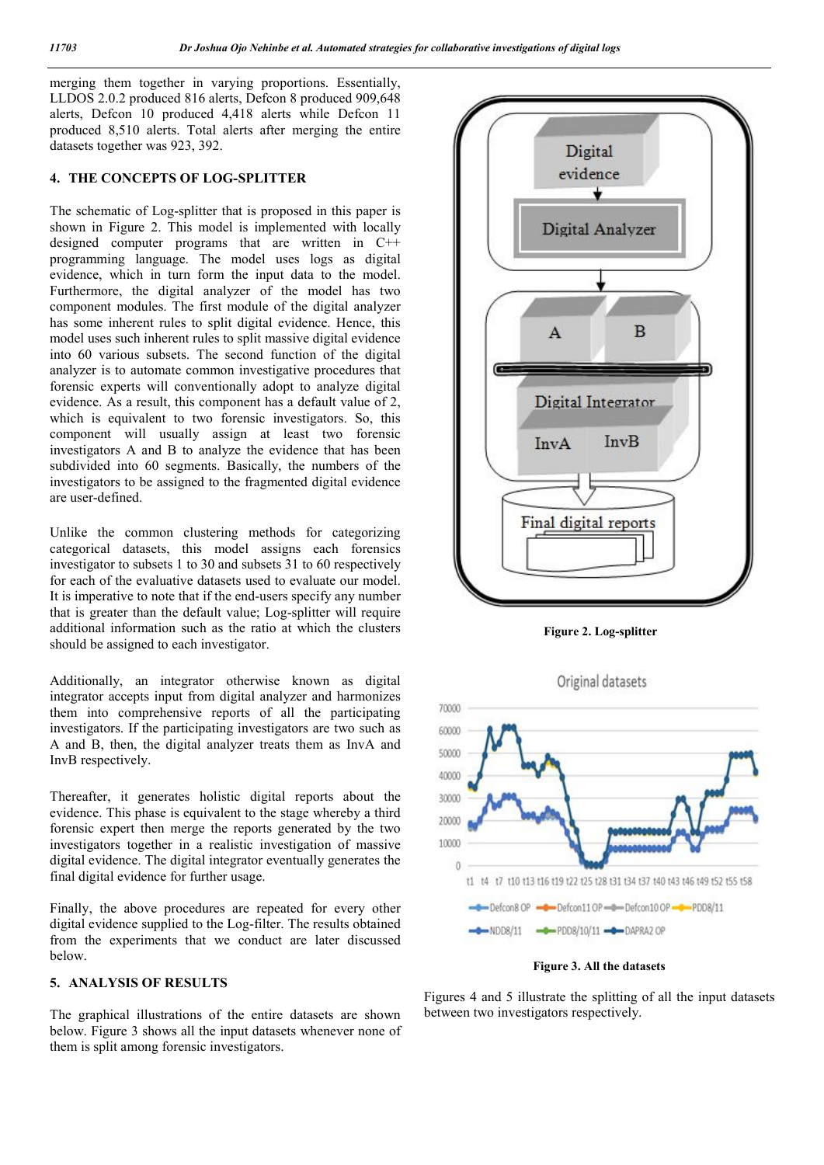merging them together in varying proportions. Essentially, LLDOS 2.0.2 produced 816 alerts, Defcon 8 produced 909,648 alerts, Defcon 10 produced 4,418 alerts while Defcon 11 produced 8,510 alerts. Total alerts after merging the entire datasets together was 923, 392.

#### **4. THE CONCEPTS OF LOG-SPLITTER**

The schematic of Log-splitter that is proposed in this paper is shown in Figure 2. This model is implemented with locally designed computer programs that are written in C++ programming language. The model uses logs as digital evidence, which in turn form the input data to the model. Furthermore, the digital analyzer of the model has two component modules. The first module of the digital analyzer has some inherent rules to split digital evidence. Hence, this model uses such inherent rules to split massive digital evidence into 60 various subsets. The second function of the digital analyzer is to automate common investigative procedures that forensic experts will conventionally adopt to analyze digital evidence. As a result, this component has a default value of 2, which is equivalent to two forensic investigators. So, this component will usually assign at least two forensic investigators A and B to analyze the evidence that has been subdivided into 60 segments. Basically, the numbers of the investigators to be assigned to the fragmented digital evidence are user-defined.

Unlike the common clustering methods for categorizing categorical datasets, this model assigns each forensics investigator to subsets 1 to 30 and subsets 31 to 60 respectively for each of the evaluative datasets used to evaluate our model. It is imperative to note that if the end-users specify any number that is greater than the default value; Log-splitter will require additional information such as the ratio at which the clusters should be assigned to each investigator.

Additionally, an integrator otherwise known as digital integrator accepts input from digital analyzer and harmonizes them into comprehensive reports of all the participating investigators. If the participating investigators are two such as A and B, then, the digital analyzer treats them as InvA and InvB respectively.

Thereafter, it generates holistic digital reports about the evidence. This phase is equivalent to the stage whereby a third forensic expert then merge the reports generated by the two investigators together in a realistic investigation of massive digital evidence. The digital integrator eventually generates the final digital evidence for further usage.

Finally, the above procedures are repeated for every other digital evidence supplied to the Log-filter. The results obtained from the experiments that we conduct are later discussed below.

#### **5. ANALYSIS OF RESULTS**

The graphical illustrations of the entire datasets are shown below. Figure 3 shows all the input datasets whenever none of them is split among forensic investigators.



**Figure 2. Log-splitter**



**Figure 3. All the datasets**

Figures 4 and 5 illustrate the splitting of all the input datasets between two investigators respectively.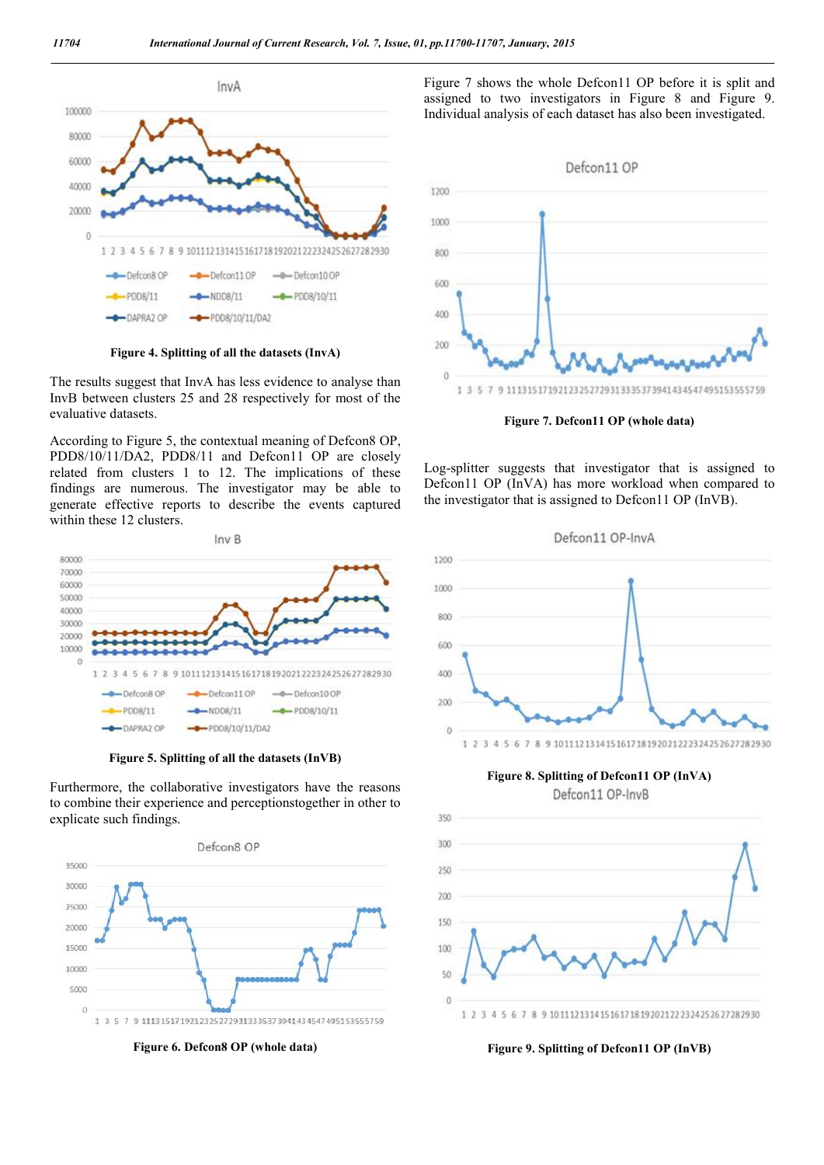

**Figure 4. Splitting of all the datasets (InvA)**

The results suggest that InvA has less evidence to analyse than InvB between clusters 25 and 28 respectively for most of the evaluative datasets.

According to Figure 5, the contextual meaning of Defcon8 OP, PDD8/10/11/DA2, PDD8/11 and Defcon11 OP are closely related from clusters 1 to 12. The implications of these findings are numerous. The investigator may be able to generate effective reports to describe the events captured within these 12 clusters.



**Figure 5. Splitting of all the datasets (InVB)**

Furthermore, the collaborative investigators have the reasons to combine their experience and perceptionstogether in other to explicate such findings.



**Figure 6. Defcon8 OP (whole data)**

Figure 7 shows the whole Defcon11 OP before it is split and assigned to two investigators in Figure 8 and Figure 9. Individual analysis of each dataset has also been investigated.



**Figure 7. Defcon11 OP (whole data)**

Log-splitter suggests that investigator that is assigned to Defcon11 OP (InVA) has more workload when compared to the investigator that is assigned to Defcon11 OP (InVB).



**Figure 8. Splitting of Defcon11 OP (InVA)**





**Figure 9. Splitting of Defcon11 OP (InVB)**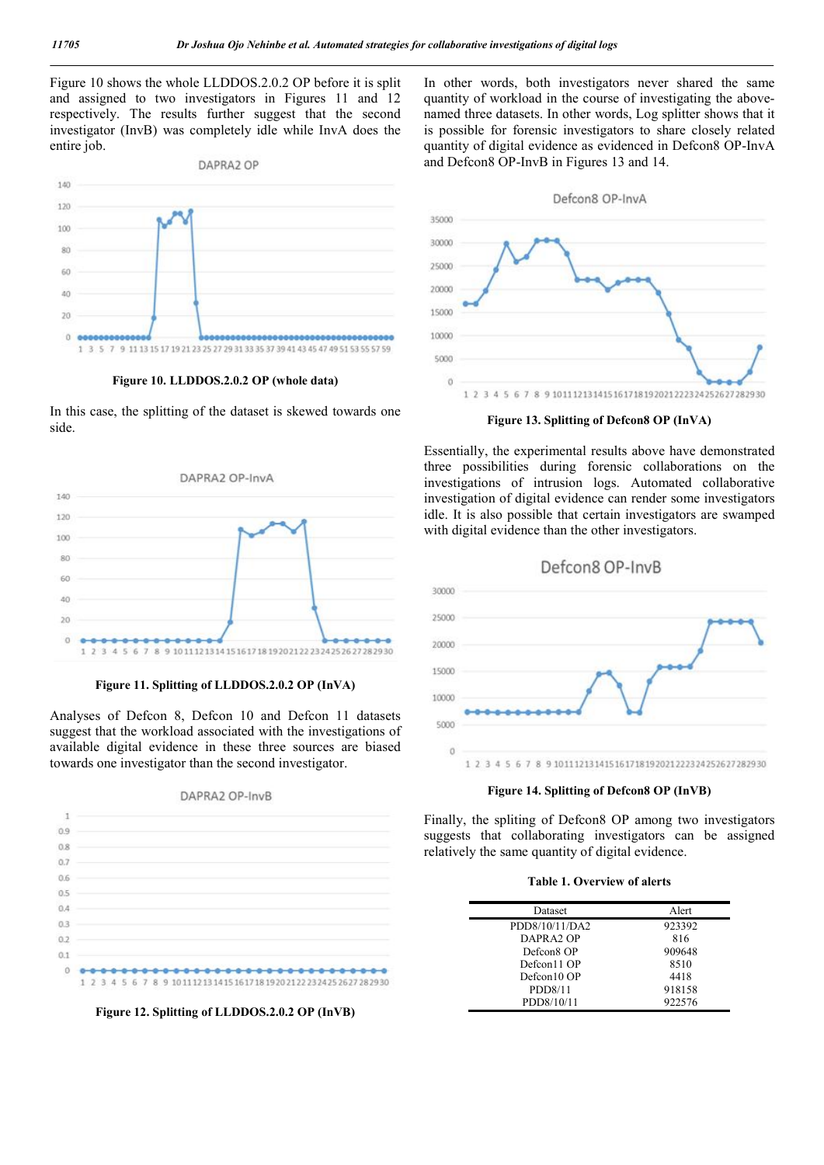Figure 10 shows the whole LLDDOS.2.0.2 OP before it is split and assigned to two investigators in Figures 11 and 12 respectively. The results further suggest that the second investigator (InvB) was completely idle while InvA does the entire job.



**Figure 10. LLDDOS.2.0.2 OP (whole data)**

In this case, the splitting of the dataset is skewed towards one side.



**Figure 11. Splitting of LLDDOS.2.0.2 OP (InVA)**

Analyses of Defcon 8, Defcon 10 and Defcon 11 datasets suggest that the workload associated with the investigations of available digital evidence in these three sources are biased towards one investigator than the second investigator.

#### DAPRA2 OP-InvB



**Figure 12. Splitting of LLDDOS.2.0.2 OP (InVB)**

In other words, both investigators never shared the same quantity of workload in the course of investigating the abovenamed three datasets. In other words, Log splitter shows that it is possible for forensic investigators to share closely related quantity of digital evidence as evidenced in Defcon8 OP-InvA and Defcon8 OP-InvB in Figures 13 and 14.



**Figure 13. Splitting of Defcon8 OP (InVA)**

Essentially, the experimental results above have demonstrated three possibilities during forensic collaborations on the investigations of intrusion logs. Automated collaborative investigation of digital evidence can render some investigators idle. It is also possible that certain investigators are swamped with digital evidence than the other investigators.





Finally, the spliting of Defcon8 OP among two investigators suggests that collaborating investigators can be assigned relatively the same quantity of digital evidence.

|  | <b>Table 1. Overview of alerts</b> |  |
|--|------------------------------------|--|
|  |                                    |  |

| Dataset               | Alert  |
|-----------------------|--------|
| PDD8/10/11/DA2        | 923392 |
| DAPRA <sub>2</sub> OP | 816    |
| Defcon8 OP            | 909648 |
| Defcon11 OP           | 8510   |
| Defcon10 OP           | 4418   |
| PDD8/11               | 918158 |
| PDD8/10/11            | 922576 |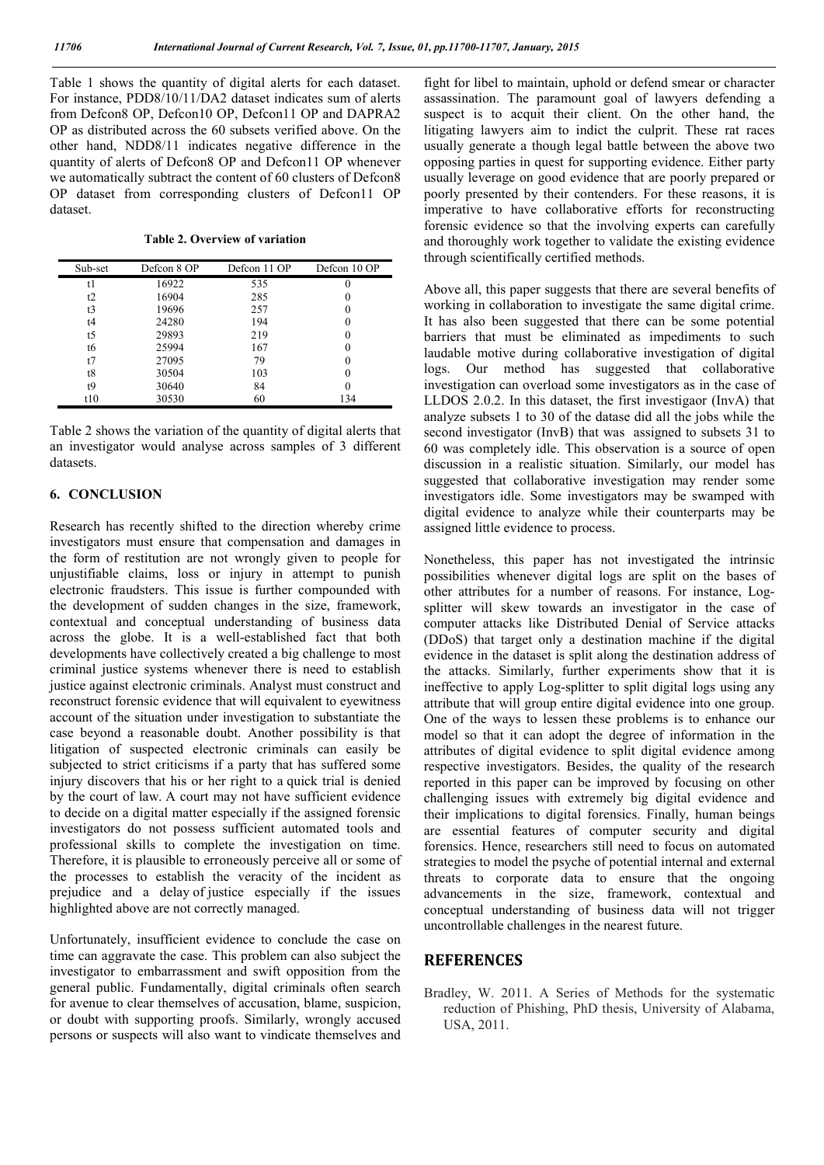Table 1 shows the quantity of digital alerts for each dataset. For instance, PDD8/10/11/DA2 dataset indicates sum of alerts from Defcon8 OP, Defcon10 OP, Defcon11 OP and DAPRA2 OP as distributed across the 60 subsets verified above. On the other hand, NDD8/11 indicates negative difference in the quantity of alerts of Defcon8 OP and Defcon11 OP whenever we automatically subtract the content of 60 clusters of Defcon8 OP dataset from corresponding clusters of Defcon11 OP dataset.

**Table 2. Overview of variation**

| Sub-set | Defcon 8 OP | Defcon 11 OP | Defcon 10 OP |
|---------|-------------|--------------|--------------|
| t1      | 16922       | 535          | 0            |
| t2      | 16904       | 285          |              |
| t3      | 19696       | 257          | 0            |
| t4      | 24280       | 194          | 0            |
| t5      | 29893       | 219          | 0            |
| t6      | 25994       | 167          | 0            |
| t7      | 27095       | 79           | 0            |
| t8      | 30504       | 103          | 0            |
| t9      | 30640       | 84           |              |
| t10     | 30530       | 60           | 134          |

Table 2 shows the variation of the quantity of digital alerts that an investigator would analyse across samples of 3 different datasets.

#### **6. CONCLUSION**

Research has recently shifted to the direction whereby crime investigators must ensure that compensation and damages in the form of restitution are not wrongly given to people for unjustifiable claims, loss or injury in attempt to punish electronic fraudsters. This issue is further compounded with the development of sudden changes in the size, framework, contextual and conceptual understanding of business data across the globe. It is a well-established fact that both developments have collectively created a big challenge to most criminal justice systems whenever there is need to establish justice against electronic criminals. Analyst must construct and reconstruct forensic evidence that will equivalent to eyewitness account of the situation under investigation to substantiate the case beyond a reasonable doubt. Another possibility is that litigation of suspected electronic criminals can easily be subjected to strict criticisms if a party that has suffered some injury discovers that his or her right to a quick trial is denied by the court of law. A court may not have sufficient evidence to decide on a digital matter especially if the assigned forensic investigators do not possess sufficient automated tools and professional skills to complete the investigation on time. Therefore, it is plausible to erroneously perceive all or some of the processes to establish the veracity of the incident as prejudice and a delay of justice especially if the issues highlighted above are not correctly managed.

Unfortunately, insufficient evidence to conclude the case on time can aggravate the case. This problem can also subject the investigator to embarrassment and swift opposition from the general public. Fundamentally, digital criminals often search for avenue to clear themselves of accusation, blame, suspicion, or doubt with supporting proofs. Similarly, wrongly accused persons or suspects will also want to vindicate themselves and

fight for libel to maintain, uphold or defend smear or character assassination. The paramount goal of lawyers defending a suspect is to acquit their client. On the other hand, the litigating lawyers aim to indict the culprit. These rat races usually generate a though legal battle between the above two opposing parties in quest for supporting evidence. Either party usually leverage on good evidence that are poorly prepared or poorly presented by their contenders. For these reasons, it is imperative to have collaborative efforts for reconstructing forensic evidence so that the involving experts can carefully and thoroughly work together to validate the existing evidence through scientifically certified methods.

Above all, this paper suggests that there are several benefits of working in collaboration to investigate the same digital crime. It has also been suggested that there can be some potential barriers that must be eliminated as impediments to such laudable motive during collaborative investigation of digital logs. Our method has suggested that collaborative investigation can overload some investigators as in the case of LLDOS 2.0.2. In this dataset, the first investigaor (InvA) that analyze subsets 1 to 30 of the datase did all the jobs while the second investigator (InvB) that was assigned to subsets 31 to 60 was completely idle. This observation is a source of open discussion in a realistic situation. Similarly, our model has suggested that collaborative investigation may render some investigators idle. Some investigators may be swamped with digital evidence to analyze while their counterparts may be assigned little evidence to process.

Nonetheless, this paper has not investigated the intrinsic possibilities whenever digital logs are split on the bases of other attributes for a number of reasons. For instance, Logsplitter will skew towards an investigator in the case of computer attacks like Distributed Denial of Service attacks (DDoS) that target only a destination machine if the digital evidence in the dataset is split along the destination address of the attacks. Similarly, further experiments show that it is ineffective to apply Log-splitter to split digital logs using any attribute that will group entire digital evidence into one group. One of the ways to lessen these problems is to enhance our model so that it can adopt the degree of information in the attributes of digital evidence to split digital evidence among respective investigators. Besides, the quality of the research reported in this paper can be improved by focusing on other challenging issues with extremely big digital evidence and their implications to digital forensics. Finally, human beings are essential features of computer security and digital forensics. Hence, researchers still need to focus on automated strategies to model the psyche of potential internal and external threats to corporate data to ensure that the ongoing advancements in the size, framework, contextual and conceptual understanding of business data will not trigger uncontrollable challenges in the nearest future.

#### **REFERENCES**

Bradley, W. 2011. A Series of Methods for the systematic reduction of Phishing, PhD thesis, University of Alabama, USA, 2011.